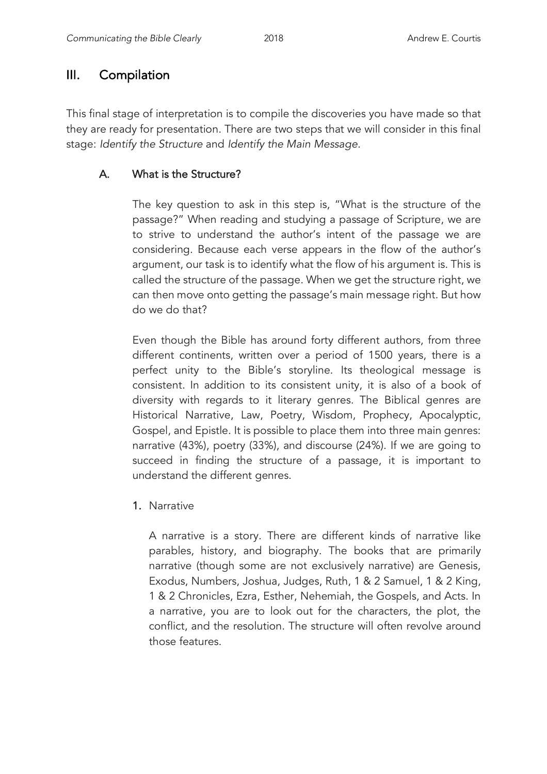# III. Compilation

This final stage of interpretation is to compile the discoveries you have made so that they are ready for presentation. There are two steps that we will consider in this final stage: *Identify the Structure* and *Identify the Main Message*.

# A.What is the Structure?

The key question to ask in this step is, "What is the structure of the passage?" When reading and studying a passage of Scripture, we are to strive to understand the author's intent of the passage we are considering. Because each verse appears in the flow of the author's argument, our task is to identify what the flow of his argument is. This is called the structure of the passage. When we get the structure right, we can then move onto getting the passage's main message right. But how do we do that?

Even though the Bible has around forty different authors, from three different continents, written over a period of 1500 years, there is a perfect unity to the Bible's storyline. Its theological message is consistent. In addition to its consistent unity, it is also of a book of diversity with regards to it literary genres. The Biblical genres are Historical Narrative, Law, Poetry, Wisdom, Prophecy, Apocalyptic, Gospel, and Epistle. It is possible to place them into three main genres: narrative (43%), poetry (33%), and discourse (24%). If we are going to succeed in finding the structure of a passage, it is important to understand the different genres.

1. Narrative

A narrative is a story. There are different kinds of narrative like parables, history, and biography. The books that are primarily narrative (though some are not exclusively narrative) are Genesis, Exodus, Numbers, Joshua, Judges, Ruth, 1 & 2 Samuel, 1 & 2 King, 1 & 2 Chronicles, Ezra, Esther, Nehemiah, the Gospels, and Acts. In a narrative, you are to look out for the characters, the plot, the conflict, and the resolution. The structure will often revolve around those features.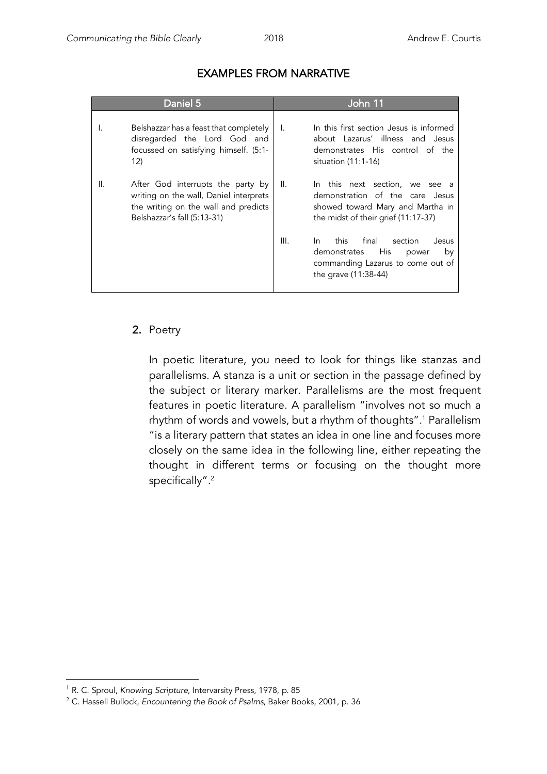| Daniel 5 |                                                                                                                                                    |      | John 11                                                                                                                                      |
|----------|----------------------------------------------------------------------------------------------------------------------------------------------------|------|----------------------------------------------------------------------------------------------------------------------------------------------|
|          | Belshazzar has a feast that completely<br>disregarded the Lord God and<br>focussed on satisfying himself. (5:1-<br>12)                             | I.   | In this first section Jesus is informed<br>about Lazarus' illness and Jesus<br>demonstrates His control of the<br>situation $(11:1-16)$      |
| ΙΙ.      | After God interrupts the party by<br>writing on the wall, Daniel interprets<br>the writing on the wall and predicts<br>Belshazzar's fall (5:13-31) | II.  | In this next section, we see a<br>demonstration of the care Jesus<br>showed toward Mary and Martha in<br>the midst of their grief (11:17-37) |
|          |                                                                                                                                                    | III. | this<br>final<br>In.<br>section<br>Jesus<br>His<br>demonstrates<br>by<br>power<br>commanding Lazarus to come out of<br>the grave (11:38-44)  |

### EXAMPLES FROM NARRATIVE

### 2. Poetry

In poetic literature, you need to look for things like stanzas and parallelisms. A stanza is a unit or section in the passage defined by the subject or literary marker. Parallelisms are the most frequent features in poetic literature. A parallelism "involves not so much a rhythm of words and vowels, but a rhythm of thoughts". <sup>1</sup> Parallelism "is a literary pattern that states an idea in one line and focuses more closely on the same idea in the following line, either repeating the thought in different terms or focusing on the thought more specifically". 2

<sup>&</sup>lt;sup>1</sup> R. C. Sproul, *Knowing Scripture*, Intervarsity Press, 1978, p. 85

<sup>2</sup> C. Hassell Bullock, *Encountering the Book of Psalms*, Baker Books, 2001, p. 36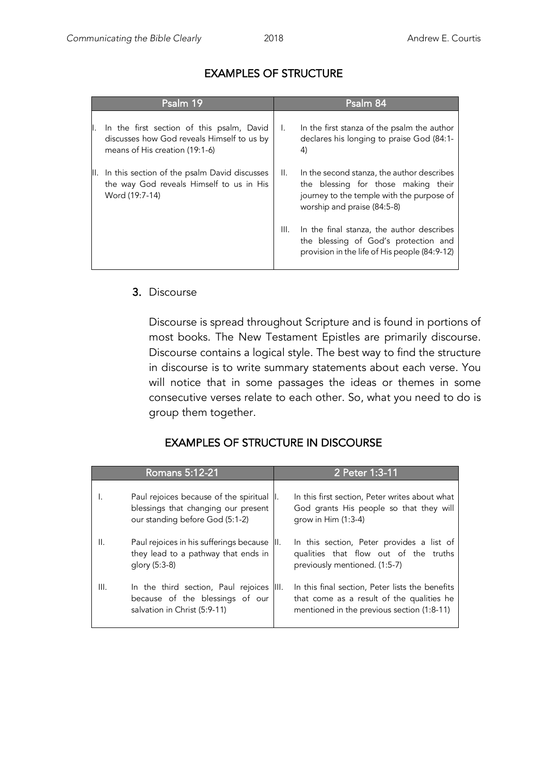| Psalm 19 |                                                                                                                           |                 | Psalm 84                                                                                                                                                      |
|----------|---------------------------------------------------------------------------------------------------------------------------|-----------------|---------------------------------------------------------------------------------------------------------------------------------------------------------------|
|          | In the first section of this psalm, David<br>discusses how God reveals Himself to us by<br>means of His creation (19:1-6) | I.              | In the first stanza of the psalm the author<br>declares his longing to praise God (84:1-<br>4)                                                                |
|          | II. In this section of the psalm David discusses<br>the way God reveals Himself to us in His<br>Word (19:7-14)            | $\mathbf{II}$ . | In the second stanza, the author describes<br>the blessing for those making their<br>journey to the temple with the purpose of<br>worship and praise (84:5-8) |
|          |                                                                                                                           | III.            | In the final stanza, the author describes<br>the blessing of God's protection and<br>provision in the life of His people (84:9-12)                            |

# EXAMPLES OF STRUCTURE

#### 3. Discourse

Discourse is spread throughout Scripture and is found in portions of most books. The New Testament Epistles are primarily discourse. Discourse contains a logical style. The best way to find the structure in discourse is to write summary statements about each verse. You will notice that in some passages the ideas or themes in some consecutive verses relate to each other. So, what you need to do is group them together.

### EXAMPLES OF STRUCTURE IN DISCOURSE

|      | Romans 5:12-21                                                                                                       |      | 2 Peter 1:3-11                                                                                                                             |
|------|----------------------------------------------------------------------------------------------------------------------|------|--------------------------------------------------------------------------------------------------------------------------------------------|
| Ι.   | Paul rejoices because of the spiritual  I.<br>blessings that changing our present<br>our standing before God (5:1-2) |      | In this first section, Peter writes about what<br>God grants His people so that they will<br>grow in $Him(1:3-4)$                          |
| II.  | Paul rejoices in his sufferings because<br>they lead to a pathway that ends in<br>glory (5:3-8)                      | III. | In this section, Peter provides a list of<br>qualities that flow out of the truths<br>previously mentioned. (1:5-7)                        |
| III. | In the third section, Paul rejoices III.<br>because of the blessings of our<br>salvation in Christ (5:9-11)          |      | In this final section, Peter lists the benefits<br>that come as a result of the qualities he<br>mentioned in the previous section (1:8-11) |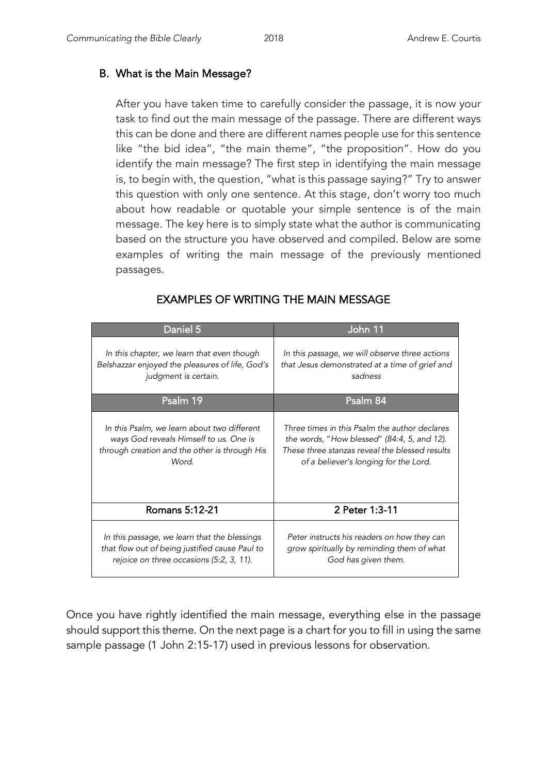### B. What is the Main Message?

After you have taken time to carefully consider the passage, it is now your task to find out the main message of the passage. There are different ways this can be done and there are different names people use for this sentence like "the bid idea", "the main theme", "the proposition". How do you identify the main message? The first step in identifying the main message is, to begin with, the question, "what is this passage saying?" Try to answer this question with only one sentence. At this stage, don't worry too much about how readable or quotable your simple sentence is of the main message. The key here is to simply state what the author is communicating based on the structure you have observed and compiled. Below are some examples of writing the main message of the previously mentioned passages.

| Daniel 5                                        | John 11                                        |
|-------------------------------------------------|------------------------------------------------|
| In this chapter, we learn that even though      | In this passage, we will observe three actions |
| Belshazzar enjoyed the pleasures of life, God's | that Jesus demonstrated at a time of grief and |
| judgment is certain.                            | sadness                                        |
| Psalm 19                                        | Psalm 84                                       |
| In this Psalm, we learn about two different     | Three times in this Psalm the author declares  |
| ways God reveals Himself to us. One is          | the words, "How blessed" (84:4, 5, and 12).    |
| through creation and the other is through His   | These three stanzas reveal the blessed results |
| Word.                                           | of a believer's longing for the Lord.          |
| Romans 5:12-21                                  | 2 Peter 1:3-11                                 |
| In this passage, we learn that the blessings    | Peter instructs his readers on how they can    |
| that flow out of being justified cause Paul to  | grow spiritually by reminding them of what     |
| rejoice on three occasions (5:2, 3, 11).        | God has given them.                            |

## EXAMPLES OF WRITING THE MAIN MESSAGE

Once you have rightly identified the main message, everything else in the passage should support this theme. On the next page is a chart for you to fill in using the same sample passage (1 John 2:15-17) used in previous lessons for observation.